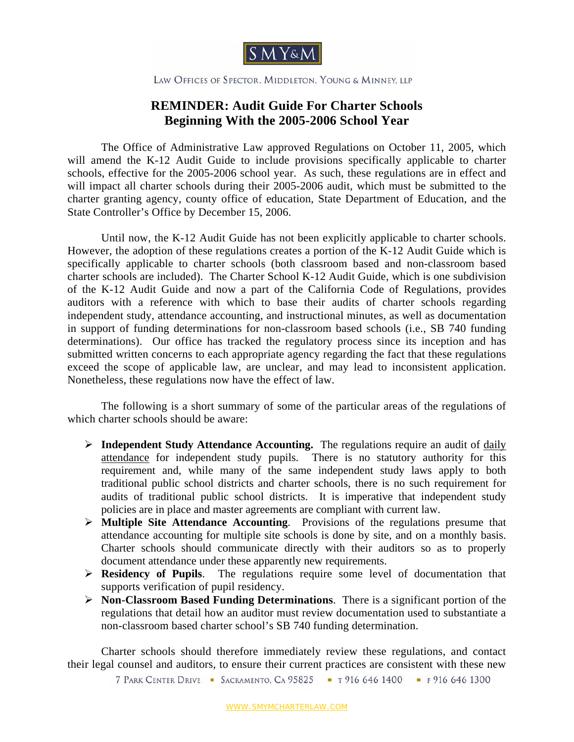

LAW OFFICES OF SPECTOR, MIDDLETON, YOUNG & MINNEY, LLP

## **REMINDER: Audit Guide For Charter Schools Beginning With the 2005-2006 School Year**

The Office of Administrative Law approved Regulations on October 11, 2005, which will amend the K-12 Audit Guide to include provisions specifically applicable to charter schools, effective for the 2005-2006 school year. As such, these regulations are in effect and will impact all charter schools during their 2005-2006 audit, which must be submitted to the charter granting agency, county office of education, State Department of Education, and the State Controller's Office by December 15, 2006.

Until now, the K-12 Audit Guide has not been explicitly applicable to charter schools. However, the adoption of these regulations creates a portion of the K-12 Audit Guide which is specifically applicable to charter schools (both classroom based and non-classroom based charter schools are included). The Charter School K-12 Audit Guide, which is one subdivision of the K-12 Audit Guide and now a part of the California Code of Regulations, provides auditors with a reference with which to base their audits of charter schools regarding independent study, attendance accounting, and instructional minutes, as well as documentation in support of funding determinations for non-classroom based schools (i.e., SB 740 funding determinations). Our office has tracked the regulatory process since its inception and has submitted written concerns to each appropriate agency regarding the fact that these regulations exceed the scope of applicable law, are unclear, and may lead to inconsistent application. Nonetheless, these regulations now have the effect of law.

The following is a short summary of some of the particular areas of the regulations of which charter schools should be aware:

- ¾ **Independent Study Attendance Accounting.** The regulations require an audit of daily attendance for independent study pupils. There is no statutory authority for this requirement and, while many of the same independent study laws apply to both traditional public school districts and charter schools, there is no such requirement for audits of traditional public school districts. It is imperative that independent study policies are in place and master agreements are compliant with current law.
- ¾ **Multiple Site Attendance Accounting**. Provisions of the regulations presume that attendance accounting for multiple site schools is done by site, and on a monthly basis. Charter schools should communicate directly with their auditors so as to properly document attendance under these apparently new requirements.
- ¾ **Residency of Pupils**. The regulations require some level of documentation that supports verification of pupil residency.
- ¾ **Non-Classroom Based Funding Determinations**. There is a significant portion of the regulations that detail how an auditor must review documentation used to substantiate a non-classroom based charter school's SB 740 funding determination.

Charter schools should therefore immediately review these regulations, and contact their legal counsel and auditors, to ensure their current practices are consistent with these new

7 PARK CENTER DRIVE - SACRAMENTO, CA 95825 - T 916 646 1400 - F 916 646 1300